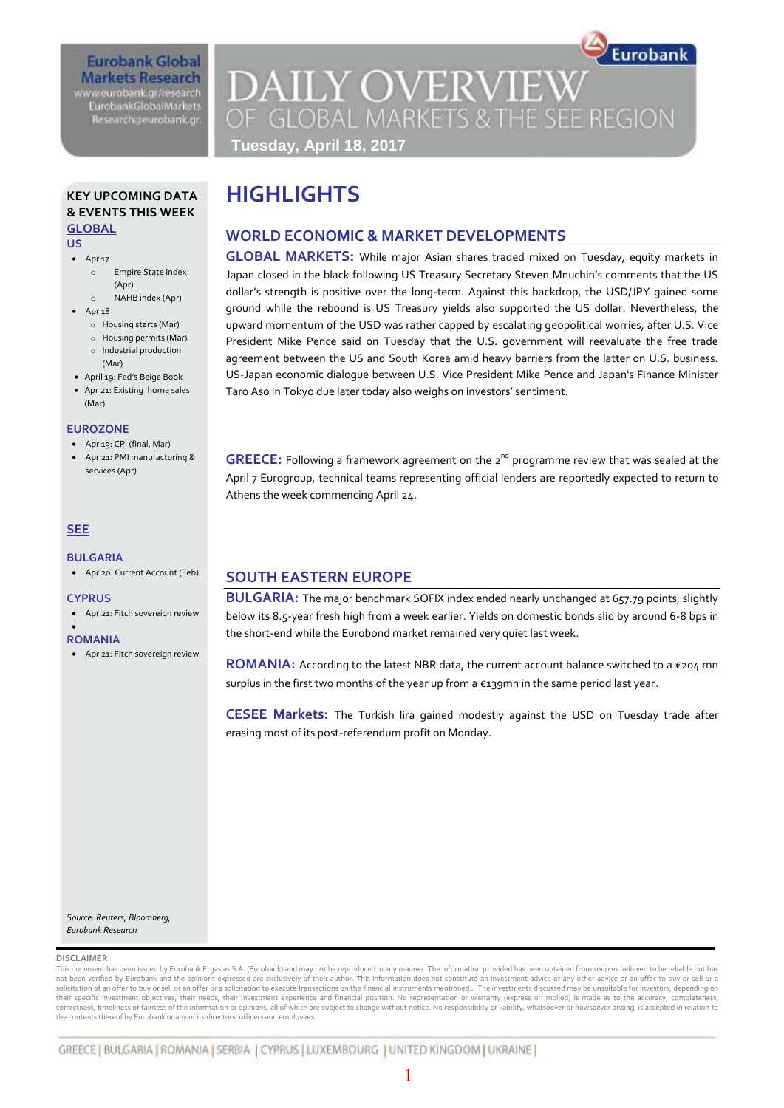## **Eurobank Global Markets Research** www.eurobank.gr/research

**EurobankGlobalMarkets** Research@eurobank.gr

Eurobank **DAILY OVERVIEW** OF GLOBAL MARKETS & THE SEE REGION **Tuesday, April 18, 2017**

### **KEY UPCOMING DATA & EVENTS THIS WEEK GLOBAL**

**US** 

- $\bullet$  Apr 17
	- o Empire State Index (Apr)
	- o NAHB index (Apr)
- $•$  Apr  $18$ 
	- o Housing starts (Mar)
	- o Housing permits (Mar) o Industrial production
	- (Mar)
- April 19: Fed's Beige Book
- Apr 21: Existing home sales (Mar)

### **EUROZONE**

- **Apr 19: CPI (final, Mar)**
- Apr 21: PMI manufacturing & services (Apr)

### **SEE**

### **BULGARIA**

Apr 20: Current Account (Feb)

### **CYPRUS**

Apr 21: Fitch sovereign review

#### $\bullet$ **ROMANIA**

Apr 21: Fitch sovereign review

# **HIGHLIGHTS**

## **WORLD ECONOMIC & MARKET DEVELOPMENTS**

**GLOBAL MARKETS:** While major Asian shares traded mixed on Tuesday, equity markets in Japan closed in the black following US Treasury Secretary Steven Mnuchin's comments that the US dollar's strength is positive over the long-term. Against this backdrop, the USD/JPY gained some ground while the rebound is US Treasury yields also supported the US dollar. Nevertheless, the upward momentum of the USD was rather capped by escalating geopolitical worries, after U.S. Vice President Mike Pence said on Tuesday that the U.S. government will reevaluate the free trade agreement between the US and South Korea amid heavy barriers from the latter on U.S. business. US-Japan economic dialogue between U.S. Vice President Mike Pence and Japan's Finance Minister Taro Aso in Tokyo due later today also weighs on investors' sentiment.

**GREECE:** Following a framework agreement on the 2<sup>nd</sup> programme review that was sealed at the April 7 Eurogroup, technical teams representing official lenders are reportedly expected to return to Athens the week commencing April 24.

## **SOUTH EASTERN EUROPE**

**BULGARIA:** The major benchmark SOFIX index ended nearly unchanged at 657.79 points, slightly below its 8.5-year fresh high from a week earlier. Yields on domestic bonds slid by around 6-8 bps in the short-end while the Eurobond market remained very quiet last week.

**ROMANIA:** According to the latest NBR data, the current account balance switched to a €204 mn surplus in the first two months of the year up from a €139mn in the same period last year.

**CESEE Markets:** The Turkish lira gained modestly against the USD on Tuesday trade after erasing most of its post-referendum profit on Monday.

*Source: Reuters, Bloomberg, Eurobank Research*

### **DISCLAIMER**

This document has been issued by Eurobank Ergasias S.A. (Eurobank) and may not be reproduced in any manner. The information provided has been obtained from sources believed to be reliable but has not been verified by Eurobank and the opinions expressed are exclusively of their author. This information does not constitute an investment advice or any other advice or an offer to buy or sell or a solicitation of an offer to buy or sell or an offer or a solicitation to execute transactions on the financial instruments mentioned.. The investments discussed may be unsuitable for investors, depending on<br>their specific correctness, timeliness or fairness of the information or opinions, all of which are subject to change without notice. No responsibility or liability, whatsoever or howsoever arising, is accepted in relation to the contents thereof by Eurobank or any of its directors, officers and employees.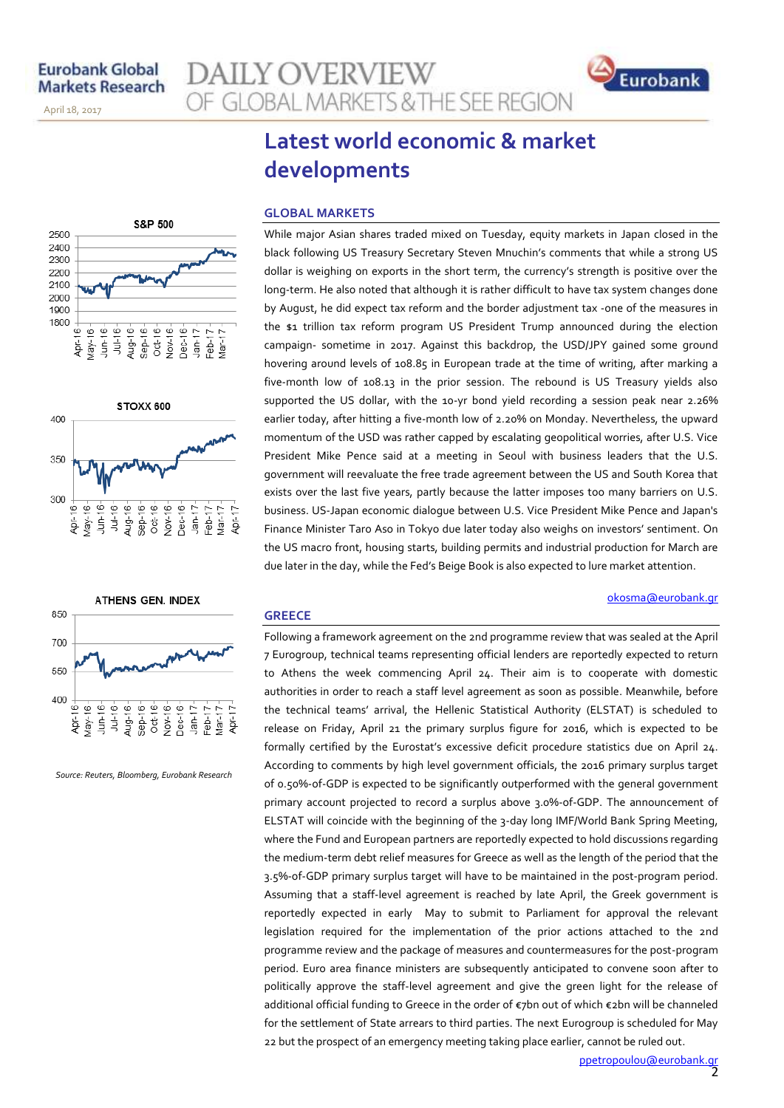November 14, 2013

April 18, 2017

# **AILY OVERVIEW** OF GLOBAL MARKETS & THE SEE REGION



# **Latest world economic & market developments**

### **GLOBAL MARKETS**

While major Asian shares traded mixed on Tuesday, equity markets in Japan closed in the black following US Treasury Secretary Steven Mnuchin's comments that while a strong US dollar is weighing on exports in the short term, the currency's strength is positive over the long-term. He also noted that although it is rather difficult to have tax system changes done by August, he did expect tax reform and the border adjustment tax -one of the measures in the \$1 trillion tax reform program US President Trump announced during the election campaign- sometime in 2017. Against this backdrop, the USD/JPY gained some ground hovering around levels of 108.85 in European trade at the time of writing, after marking a five-month low of 108.13 in the prior session. The rebound is US Treasury yields also supported the US dollar, with the 10-yr bond yield recording a session peak near 2.26% earlier today, after hitting a five-month low of 2.20% on Monday. Nevertheless, the upward momentum of the USD was rather capped by escalating geopolitical worries, after U.S. Vice President Mike Pence said at a meeting in Seoul with business leaders that the U.S. government will reevaluate the free trade agreement between the US and South Korea that exists over the last five years, partly because the latter imposes too many barriers on U.S. business. US-Japan economic dialogue between U.S. Vice President Mike Pence and Japan's Finance Minister Taro Aso in Tokyo due later today also weighs on investors' sentiment. On the US macro front, housing starts, building permits and industrial production for March are due later in the day, while the Fed's Beige Book is also expected to lure market attention.

## **GREECE**

Following a framework agreement on the 2nd programme review that was sealed at the April 7 Eurogroup, technical teams representing official lenders are reportedly expected to return to Athens the week commencing April 24. Their aim is to cooperate with domestic authorities in order to reach a staff level agreement as soon as possible. Meanwhile, before the technical teams' arrival, the Hellenic Statistical Authority (ELSTAT) is scheduled to release on Friday, April 21 the primary surplus figure for 2016, which is expected to be formally certified by the Eurostat's excessive deficit procedure statistics due on April 24. According to comments by high level government officials, the 2016 primary surplus target of 0.50%-of-GDP is expected to be significantly outperformed with the general government primary account projected to record a surplus above 3.0%-of-GDP. The announcement of ELSTAT will coincide with the beginning of the 3-day long IMF/World Bank Spring Meeting, where the Fund and European partners are reportedly expected to hold discussions regarding the medium-term debt relief measures for Greece as well as the length of the period that the 3.5%-of-GDP primary surplus target will have to be maintained in the post-program period. Assuming that a staff-level agreement is reached by late April, the Greek government is reportedly expected in early May to submit to Parliament for approval the relevant legislation required for the implementation of the prior actions attached to the 2nd programme review and the package of measures and countermeasures for the post-program period. Euro area finance ministers are subsequently anticipated to convene soon after to politically approve the staff-level agreement and give the green light for the release of additional official funding to Greece in the order of €7bn out of which €2bn will be channeled for the settlement of State arrears to third parties. The next Eurogroup is scheduled for May 22 but the prospect of an emergency meeting taking place earlier, cannot be ruled out.

S&P 500 2500 2400 2300 2200 2100 2000 1900 1800 Aug-16- $Sep-16 Oct-16 -$ Nov-16-Dec-16- $Ju$ -16  $Jan-17$  $Feb-17$  $Mar-17$  $\overset{\circ}{=}$  $\overset{\circ}{=}$  $\frac{6}{5}$ **Apr-1**  $\frac{1}{2}$ lay-





*Source: Reuters, Bloomberg, Eurobank Research*

[okosma@eurobank.gr](mailto:okosma@eurobank.gr)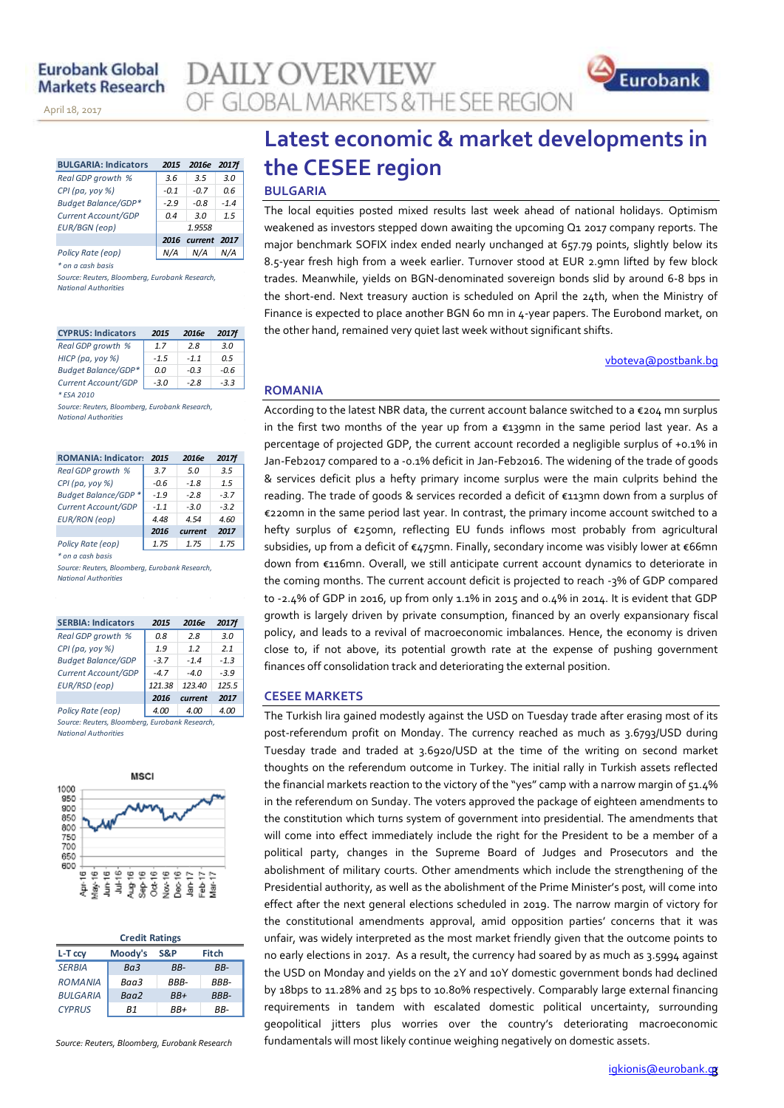November 14, 2013

April 18, 2017

| <b>BULGARIA: Indicators</b> | 2015   | 2016e        | <b>2017f</b> |
|-----------------------------|--------|--------------|--------------|
| Real GDP growth %           | 3.6    | 3.5          | 3.0          |
| $CPI$ (pa, yoy %)           | $-0.1$ | $-0.7$       | 0.6          |
| <b>Budget Balance/GDP*</b>  | $-2.9$ | $-0.8$       | $-1.4$       |
| Current Account/GDP         | 0.4    | 3.0          | 1.5          |
| <b>EUR/BGN</b> (eop)        |        | 1.9558       |              |
|                             | 2016   | current 2017 |              |
| Policy Rate (eop)           |        | N/A          | N/A          |

*\* on a cash basis*

*Source: Reuters, Bloomberg, Eurobank Research, National Authorities*

| <b>CYPRUS: Indicators</b>  | 2015   | 2016e  | <b>2017f</b> |
|----------------------------|--------|--------|--------------|
| Real GDP growth %          | 17     | 28     | 3 N          |
| HICP (pa, yoy %)           | $-1.5$ | $-11$  | በ 5          |
| <b>Budget Balance/GDP*</b> | 0.0    | $-0.3$ | -0.6         |
| Current Account/GDP        | $-3.0$ | $-2.8$ | $-3.3$       |
| * FSA 2010                 |        |        |              |

*Source: Reuters, Bloomberg, Eurobank Research, National Authorities*

| <b>ROMANIA: Indicators</b> | 2015   | 2016e   | <b>2017f</b> |
|----------------------------|--------|---------|--------------|
| Real GDP growth %          | 3.7    | 5.0     | 3.5          |
| $CPI$ (pa, yoy %)          | $-0.6$ | $-1.8$  | 1.5          |
| Budget Balance/GDP *       | $-1.9$ | $-2.8$  | $-3.7$       |
| Current Account/GDP        | $-1.1$ | $-3.0$  | $-3.2$       |
| <b>EUR/RON</b> (eop)       | 4.48   | 4.54    | 4.60         |
|                            | 2016   | current | 2017         |
| Policy Rate (eop)          | 1.75   | 1.75    | 1.75         |
| * on a cash basis          |        |         |              |
| .                          |        |         |              |

*Source: Reuters, Bloomberg, Eurobank Research, National Authorities*

| <b>SERBIA: Indicators</b> | 2015   | 2016e                | <b>2017f</b> |
|---------------------------|--------|----------------------|--------------|
| Real GDP growth %         | 0.8    | 2.8                  | 3.0          |
| CPI (pa, yoy %)           | 1.9    | 1.2                  | 2.1          |
| <b>Budget Balance/GDP</b> | $-3.7$ | $-1.4$               | $-1.3$       |
| Current Account/GDP       | $-4.7$ | $-4.0$               | $-3.9$       |
| EUR/RSD (eop)             | 121.38 | 123.40               | 125.5        |
|                           | 2016   | current              | 2017         |
| Policy Rate (eop)         | 4.00   | 4.00                 | 4.00         |
|                           | __     | $\sim$ $\sim$ $\sim$ |              |

*Source: Reuters, Bloomberg, Eurobank Research, National Authorities*



| <b>Credit Ratings</b> |         |       |             |  |  |  |  |  |
|-----------------------|---------|-------|-------------|--|--|--|--|--|
| L-T ccy               | Moody's | S&P   | Fitch       |  |  |  |  |  |
| <b>SERBIA</b>         | Ra3     | RR-   | RR-         |  |  |  |  |  |
| <b>ROMANIA</b>        | Baa3    | RRR-  | RRR-        |  |  |  |  |  |
| <b>BULGARIA</b>       | Baa2    | $BB+$ | <b>BBB-</b> |  |  |  |  |  |
| <b>CYPRUS</b>         | R1      | RR+   | RR-         |  |  |  |  |  |

*Source: Reuters, Bloomberg, Eurobank Research*

# **Latest economic & market developments in the CESEE region**

### **BULGARIA**

**AILY OVERVIEW** 

OF GLOBAL MARKETS & THE SEE REGION

The local equities posted mixed results last week ahead of national holidays. Optimism weakened as investors stepped down awaiting the upcoming Q1 2017 company reports. The major benchmark SOFIX index ended nearly unchanged at 657.79 points, slightly below its 8.5-year fresh high from a week earlier. Turnover stood at EUR 2.9mn lifted by few block trades. Meanwhile, yields on BGN-denominated sovereign bonds slid by around 6-8 bps in the short-end. Next treasury auction is scheduled on April the 24th, when the Ministry of Finance is expected to place another BGN 60 mn in 4-year papers. The Eurobond market, on the other hand, remained very quiet last week without significant shifts.

### [vboteva@postbank.bg](mailto:vboteva@postbank.bg)

Eurobank

### **ROMANIA**

According to the latest NBR data, the current account balance switched to a €204 mn surplus in the first two months of the year up from a  $\epsilon_1$ 39mn in the same period last year. As a percentage of projected GDP, the current account recorded a negligible surplus of +0.1% in Jan-Feb2017 compared to a -0.1% deficit in Jan-Feb2016. The widening of the trade of goods & services deficit plus a hefty primary income surplus were the main culprits behind the reading. The trade of goods & services recorded a deficit of €113mn down from a surplus of €220mn in the same period last year. In contrast, the primary income account switched to a hefty surplus of €250mn, reflecting EU funds inflows most probably from agricultural subsidies, up from a deficit of €475mn. Finally, secondary income was visibly lower at €66mn down from €116mn. Overall, we still anticipate current account dynamics to deteriorate in the coming months. The current account deficit is projected to reach -3% of GDP compared to -2.4% of GDP in 2016, up from only 1.1% in 2015 and 0.4% in 2014. It is evident that GDP growth is largely driven by private consumption, financed by an overly expansionary fiscal policy, and leads to a revival of macroeconomic imbalances. Hence, the economy is driven close to, if not above, its potential growth rate at the expense of pushing government finances off consolidation track and deteriorating the external position.

### **CESEE MARKETS**

The Turkish lira gained modestly against the USD on Tuesday trade after erasing most of its post-referendum profit on Monday. The currency reached as much as 3.6793/USD during Tuesday trade and traded at 3.6920/USD at the time of the writing on second market thoughts on the referendum outcome in Turkey. The initial rally in Turkish assets reflected the financial markets reaction to the victory of the "yes" camp with a narrow margin of 51.4% in the referendum on Sunday. The voters approved the package of eighteen amendments to the constitution which turns system of government into presidential. The amendments that will come into effect immediately include the right for the President to be a member of a political party, changes in the Supreme Board of Judges and Prosecutors and the abolishment of military courts. Other amendments which include the strengthening of the Presidential authority, as well as the abolishment of the Prime Minister's post, will come into effect after the next general elections scheduled in 2019. The narrow margin of victory for the constitutional amendments approval, amid opposition parties' concerns that it was unfair, was widely interpreted as the most market friendly given that the outcome points to no early elections in 2017. As a result, the currency had soared by as much as 3.5994 against the USD on Monday and yields on the 2Y and 10Y domestic government bonds had declined by 18bps to 11.28% and 25 bps to 10.80% respectively. Comparably large external financing requirements in tandem with escalated domestic political uncertainty, surrounding geopolitical jitters plus worries over the country's deteriorating macroeconomic fundamentals will most likely continue weighing negatively on domestic assets.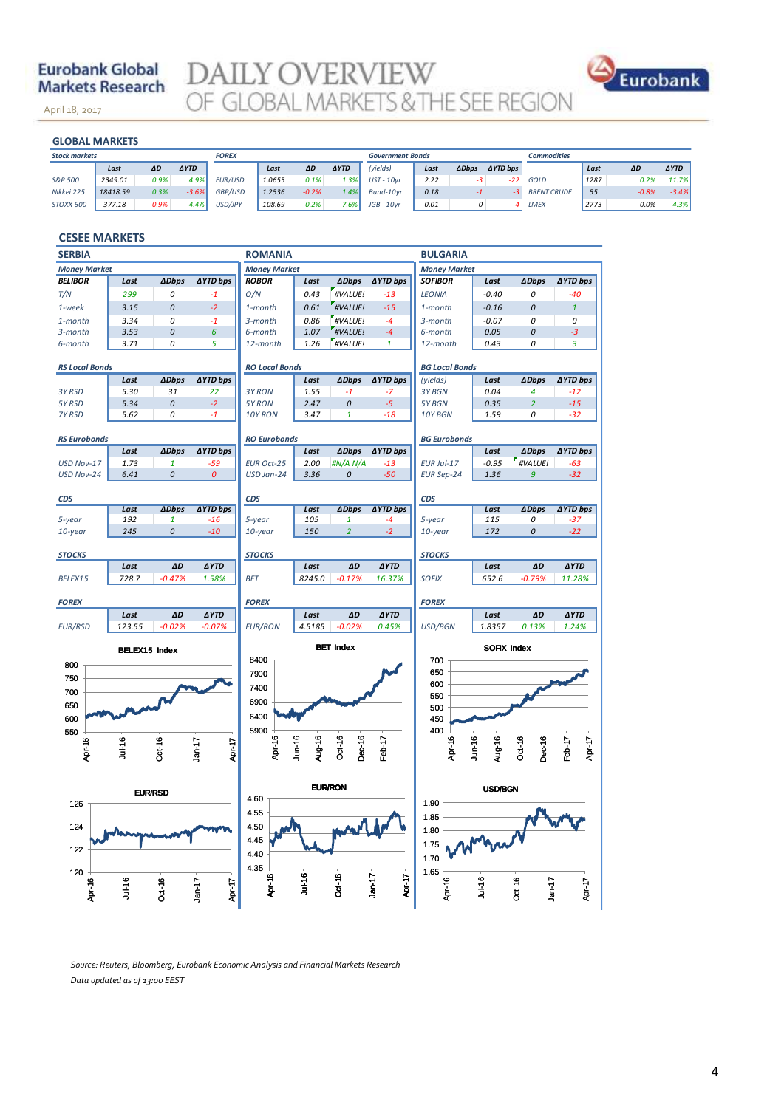## **Eurobank Global Markets Research**

November 14, 2013

April 18, 2017

**DAILY OVERVIEW**<br>OF GLOBAL MARKETS & THE SEE REGION



| <b>GLOBAL MARKETS</b> |          |         |             |                |        |         |             |                         |      |               |                 |                    |      |         |             |
|-----------------------|----------|---------|-------------|----------------|--------|---------|-------------|-------------------------|------|---------------|-----------------|--------------------|------|---------|-------------|
| <b>Stock markets</b>  |          |         |             | <b>FOREX</b>   |        |         |             | <b>Government Bonds</b> |      |               |                 | <b>Commodities</b> |      |         |             |
|                       | Last     | ΔD      | <b>AYTD</b> |                | Last   | ΔD      | <b>AYTD</b> | (yields)                | Last | <b>ADbps</b>  | <b>AYTD bps</b> |                    | Last | ΔD      | <b>AYTD</b> |
| S&P 500               | 2349.01  | 0.9%    | 4.9%        | <b>EUR/USD</b> | 1.0655 | 0.1%    | 1.3%        | $UST - 10vr$            | 2.22 | -3            | -22             | GOLD               | 1287 | 0.2%    | 11.7%       |
| Nikkei 225            | 18418.59 | 0.3%    | $-3.6%$     | GBP/USD        | 1.2536 | $-0.2%$ | 1.4%        | Bund-10vr               | 0.18 |               |                 | <b>BRENT CRUDE</b> | 55   | $-0.8%$ | $-3.4%$     |
| <b>STOXX 600</b>      | 377.18   | $-0.9%$ | 4.4%        | USD/JPY        | 108.69 | 0.2%    | 7.6%        | $JGB - 10yr$            | 0.01 | $\mathcal{O}$ |                 | LMEX               | 2773 | 0.0%    | 4.3%        |
|                       |          |         |             |                |        |         |             |                         |      |               |                 |                    |      |         |             |

### **CESEE MARKETS**

| <b>SERBIA</b>                                                  |                |              |                    | <b>ROMANIA</b>        |           |                |                     | <b>BULGARIA</b>       |                |                  |                 |  |
|----------------------------------------------------------------|----------------|--------------|--------------------|-----------------------|-----------|----------------|---------------------|-----------------------|----------------|------------------|-----------------|--|
| <b>Money Market</b>                                            |                |              |                    | <b>Money Market</b>   |           |                | <b>Money Market</b> |                       |                |                  |                 |  |
| <b>BELIBOR</b>                                                 | Last           | <b>ADbps</b> | <b>AYTD bps</b>    | <b>ROBOR</b>          | Last      | <b>ADbps</b>   | <b>∆YTD bps</b>     | <b>SOFIBOR</b>        | Last           | <b>ADbps</b>     | <b>AYTD bps</b> |  |
| T/N                                                            | 299            | 0            | $-1$               | O/N                   | 0.43      | #VALUE!        | $-13$               | <b>LEONIA</b>         | $-0.40$        | 0                | -40             |  |
| 1-week                                                         | 3.15           | 0            | $-2$               | 1-month               | 0.61      | #VALUE!        | $-15$               | 1-month               | $-0.16$        | $\mathcal{O}$    | $\mathbf{1}$    |  |
| 1-month                                                        | 3.34           | 0            | $-1$               | 3-month               | 0.86      | #VALUE!        | $-4$                | 3-month               | $-0.07$        | 0                | 0               |  |
| 3-month                                                        | 3.53           | 0            | 6                  | 6-month               | 1.07      | #VALUE!        | $-4$                | 6-month               | 0.05           | 0                | -3              |  |
| 6-month                                                        | 3.71           | 0            | 5                  | 12-month              | 1.26      | #VALUE!        | 1                   | 12-month              | 0.43           | 0                | 3               |  |
|                                                                |                |              |                    |                       |           |                |                     |                       |                |                  |                 |  |
| <b>RS Local Bonds</b>                                          |                |              |                    | <b>RO Local Bonds</b> |           |                |                     | <b>BG Local Bonds</b> |                |                  |                 |  |
|                                                                | Last           | <b>ADbps</b> | <b>∆YTD bps</b>    |                       | Last      | <b>ADbps</b>   | <b>∆YTD bps</b>     | (yields)              | Last           | <b>ADbps</b>     | <b>∆YTD bps</b> |  |
| 3Y RSD                                                         | 5.30           | 31           | 22                 | 3Y RON                | 1.55      | $-1$           | $-7$                | 3Y BGN                | 0.04           | 4                | $-12$           |  |
| 5Y RSD                                                         | 5.34           | 0            | $-2$               | 5Y RON                | 2.47      | 0              | $-5$                | 5Y BGN                | 0.35           | $\overline{2}$   | $-15$           |  |
| 7Y RSD                                                         | 5.62           | 0            | $-1$               | 10Y RON               | 3.47      | $\mathbf{1}$   | $-18$               | 10Y BGN               | 1.59           | 0                | $-32$           |  |
|                                                                |                |              |                    |                       |           |                |                     |                       |                |                  |                 |  |
| <b>RS Eurobonds</b>                                            | Last           | <b>ADbps</b> | <b>∆YTD bps</b>    | <b>RO Eurobonds</b>   | Last      | <b>ADbps</b>   | <b>∆YTD bps</b>     | <b>BG Eurobonds</b>   | Last           | <b>ADbps</b>     | <b>AYTD bps</b> |  |
| USD Nov-17                                                     | 1.73           | $\mathbf{1}$ | $-59$              | <b>EUR Oct-25</b>     | 2.00      | #N/A N/A       | $-13$               | EUR Jul-17            | $-0.95$        | #VALUE!          | $-63$           |  |
| USD Nov-24                                                     | 6.41           | 0            | $\pmb{\mathit{O}}$ | USD Jan-24            | 3.36      | 0              | $-50$               |                       | 1.36           | 9                | $-32$           |  |
|                                                                |                |              |                    |                       |           |                |                     | <b>EUR Sep-24</b>     |                |                  |                 |  |
| CDS                                                            |                |              |                    | CDS                   |           |                |                     | <b>CDS</b>            |                |                  |                 |  |
|                                                                | Last           | <b>ADbps</b> | <b>AYTD bps</b>    |                       | Last      | <b>ADbps</b>   | <b>AYTD bps</b>     |                       | Last           | <b>ADbps</b>     | <b>AYTD bps</b> |  |
| 5-year                                                         | 192            | 1            | $-16$              | 5-year                | 105       | 1              | -4                  | 5-year                | 115            | 0                | -37             |  |
| 10-year                                                        | 245            | 0            | $-10$              | 10-year               | 150       | $\overline{2}$ | $-2$                | 10-year               | 172            | 0                | $-22$           |  |
|                                                                |                |              |                    |                       |           |                |                     |                       |                |                  |                 |  |
| <b>STOCKS</b>                                                  |                |              |                    | <b>STOCKS</b>         |           |                |                     | <b>STOCKS</b>         |                |                  |                 |  |
|                                                                | Last           | ΔD           | <b>AYTD</b>        |                       | Last      | ΔD             | <b>AYTD</b>         |                       | Last           | ΔD               | <b>AYTD</b>     |  |
| BELEX15                                                        | 728.7          | $-0.47%$     | 1.58%              | <b>BET</b>            | 8245.0    | $-0.17%$       | 16.37%              | <b>SOFIX</b>          | 652.6          | $-0.79%$         | 11.28%          |  |
|                                                                |                |              |                    |                       |           |                |                     |                       |                |                  |                 |  |
| <b>FOREX</b>                                                   |                |              |                    | <b>FOREX</b>          |           |                |                     | <b>FOREX</b>          |                |                  |                 |  |
|                                                                | Last           | ΔD           | <b>AYTD</b>        |                       | Last      | ΔD             | <b>AYTD</b>         |                       | Last           | ΔD               | <b>AYTD</b>     |  |
| <b>EUR/RSD</b>                                                 | 123.55         | $-0.02%$     | $-0.07%$           | <b>EUR/RON</b>        | 4.5185    | $-0.02%$       | 0.45%               | USD/BGN               | 1.8357         | 0.13%            | 1.24%           |  |
| <b>BET Index</b><br><b>SOFIX Index</b><br><b>BELEX15 Index</b> |                |              |                    |                       |           |                |                     |                       |                |                  |                 |  |
|                                                                |                |              |                    | 8400                  |           |                |                     | 700                   |                |                  |                 |  |
| 800                                                            |                |              |                    | 7900                  |           |                |                     | 650                   |                |                  |                 |  |
| 750                                                            |                |              |                    |                       |           |                |                     | 600                   |                |                  |                 |  |
| 700                                                            |                |              |                    | 7400                  |           |                |                     | 550                   |                |                  |                 |  |
| 650                                                            |                |              |                    | 6900                  |           |                |                     | 500                   |                |                  |                 |  |
| 600                                                            |                |              |                    | 6400                  |           |                |                     | 450                   |                |                  |                 |  |
| 550                                                            |                |              |                    | 5900                  |           |                |                     | 400                   |                |                  |                 |  |
|                                                                | <b>Jul-16</b>  |              |                    | Apr-16                | $J$ un-16 | $Oct - 16$     |                     | Apr-16                | $J$ un-16      | Oct-16           | Apr-17          |  |
| Apr-16                                                         |                | Oct-16       | Apr-17<br>$Jan-17$ |                       | Aug-16    | Dec-16         | Feb-17              |                       | Aug-16         | Dec-16           | Feb-17          |  |
|                                                                |                |              |                    |                       |           |                |                     |                       |                |                  |                 |  |
|                                                                |                |              |                    |                       |           |                |                     |                       |                |                  |                 |  |
|                                                                | <b>EUR/RSD</b> |              |                    | 4.60                  |           | <b>EUR/RON</b> |                     |                       | <b>USD/BGN</b> |                  |                 |  |
| 126                                                            |                |              |                    |                       |           |                |                     | 1.90                  |                |                  |                 |  |
|                                                                |                |              |                    | 455                   |           |                |                     | 1.85                  |                |                  |                 |  |
| 124                                                            |                |              |                    | 4.50                  |           |                |                     | 1.80                  |                |                  |                 |  |
|                                                                |                |              |                    | 4.45                  |           |                |                     | 1.75                  |                |                  |                 |  |
| 122                                                            |                |              |                    | 4.40                  |           |                |                     | 1.70                  |                |                  |                 |  |
| 120                                                            |                |              |                    | 4.35                  |           |                |                     | 1.65                  |                |                  |                 |  |
|                                                                |                |              |                    | Apr-16                | Jul-16    | <b>Dct-16</b>  | Apr-17<br>$Jan-17$  |                       |                |                  |                 |  |
| Apr-16                                                         | Jul-16         | Oct-16       | Apr-17<br>$Jan-17$ |                       |           |                |                     | Apr-16                | $Ju+16$        | Dct-16<br>Jan-17 | Apr-17          |  |
|                                                                |                |              |                    |                       |           |                |                     |                       |                |                  |                 |  |

*Source: Reuters, Bloomberg, Eurobank Economic Analysis and Financial Markets Research Data updated as of 13:00 EEST*